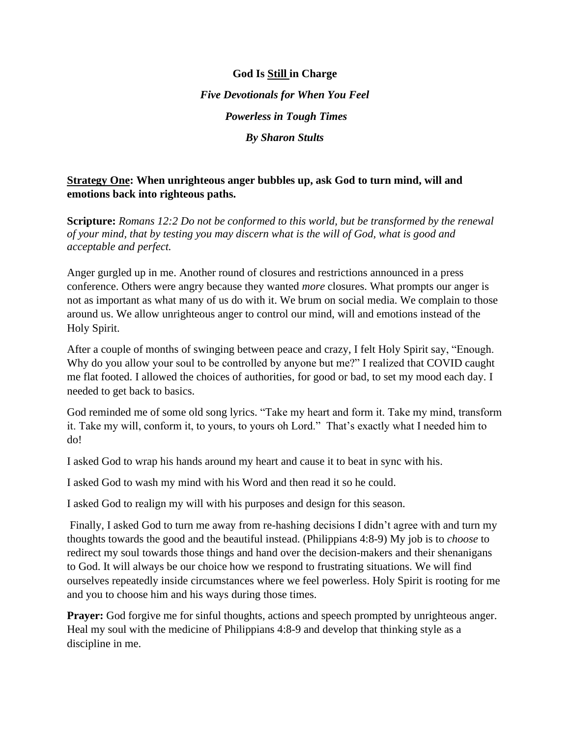**God Is Still in Charge** *Five Devotionals for When You Feel Powerless in Tough Times By Sharon Stults* 

## **Strategy One: When unrighteous anger bubbles up, ask God to turn mind, will and emotions back into righteous paths.**

**Scripture:** *[Romans 12:2](https://www.biblegateway.com/passage/?search=Romans+12%3A2&version=ESV) Do not be conformed to this world, but be transformed by the renewal of your mind, that by testing you may discern what is the will of God, what is good and acceptable and perfect.*

Anger gurgled up in me. Another round of closures and restrictions announced in a press conference. Others were angry because they wanted *more* closures. What prompts our anger is not as important as what many of us do with it. We brum on social media. We complain to those around us. We allow unrighteous anger to control our mind, will and emotions instead of the Holy Spirit.

After a couple of months of swinging between peace and crazy, I felt Holy Spirit say, "Enough. Why do you allow your soul to be controlled by anyone but me?" I realized that COVID caught me flat footed. I allowed the choices of authorities, for good or bad, to set my mood each day. I needed to get back to basics.

God reminded me of some old song lyrics. "Take my heart and form it. Take my mind, transform it. Take my will, conform it, to yours, to yours oh Lord." That's exactly what I needed him to do!

I asked God to wrap his hands around my heart and cause it to beat in sync with his.

I asked God to wash my mind with his Word and then read it so he could.

I asked God to realign my will with his purposes and design for this season.

Finally, I asked God to turn me away from re-hashing decisions I didn't agree with and turn my thoughts towards the good and the beautiful instead. (Philippians 4:8-9) My job is to *choose* to redirect my soul towards those things and hand over the decision-makers and their shenanigans to God. It will always be our choice how we respond to frustrating situations. We will find ourselves repeatedly inside circumstances where we feel powerless. Holy Spirit is rooting for me and you to choose him and his ways during those times.

**Prayer:** God forgive me for sinful thoughts, actions and speech prompted by unrighteous anger. Heal my soul with the medicine of Philippians 4:8-9 and develop that thinking style as a discipline in me.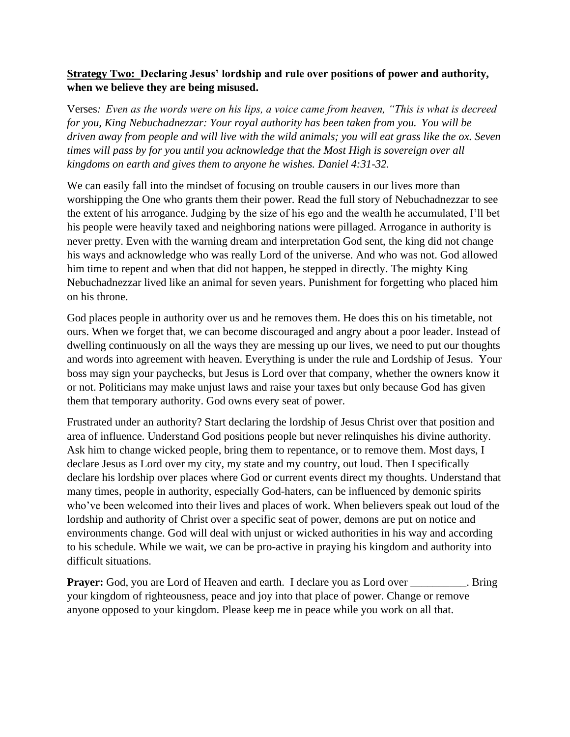# **Strategy Two: Declaring Jesus' lordship and rule over positions of power and authority, when we believe they are being misused.**

Verses*: Even as the words were on his lips, a voice came from heaven, "This is what is decreed for you, King Nebuchadnezzar: Your royal authority has been taken from you. You will be driven away from people and will live with the wild animals; you will eat grass like the ox. Seven times will pass by for you until you acknowledge that the Most High is sovereign over all kingdoms on earth and gives them to anyone he wishes. Daniel 4:31-32.*

We can easily fall into the mindset of focusing on trouble causers in our lives more than worshipping the One who grants them their power. Read the full story of Nebuchadnezzar to see the extent of his arrogance. Judging by the size of his ego and the wealth he accumulated, I'll bet his people were heavily taxed and neighboring nations were pillaged. Arrogance in authority is never pretty. Even with the warning dream and interpretation God sent, the king did not change his ways and acknowledge who was really Lord of the universe. And who was not. God allowed him time to repent and when that did not happen, he stepped in directly. The mighty King Nebuchadnezzar lived like an animal for seven years. Punishment for forgetting who placed him on his throne.

God places people in authority over us and he removes them. He does this on his timetable, not ours. When we forget that, we can become discouraged and angry about a poor leader. Instead of dwelling continuously on all the ways they are messing up our lives, we need to put our thoughts and words into agreement with heaven. Everything is under the rule and Lordship of Jesus. Your boss may sign your paychecks, but Jesus is Lord over that company, whether the owners know it or not. Politicians may make unjust laws and raise your taxes but only because God has given them that temporary authority. God owns every seat of power.

Frustrated under an authority? Start declaring the lordship of Jesus Christ over that position and area of influence. Understand God positions people but never relinquishes his divine authority. Ask him to change wicked people, bring them to repentance, or to remove them. Most days, I declare Jesus as Lord over my city, my state and my country, out loud. Then I specifically declare his lordship over places where God or current events direct my thoughts. Understand that many times, people in authority, especially God-haters, can be influenced by demonic spirits who've been welcomed into their lives and places of work. When believers speak out loud of the lordship and authority of Christ over a specific seat of power, demons are put on notice and environments change. God will deal with unjust or wicked authorities in his way and according to his schedule. While we wait, we can be pro-active in praying his kingdom and authority into difficult situations.

**Prayer:** God, you are Lord of Heaven and earth. I declare you as Lord over \_\_\_\_\_\_\_\_. Bring your kingdom of righteousness, peace and joy into that place of power. Change or remove anyone opposed to your kingdom. Please keep me in peace while you work on all that.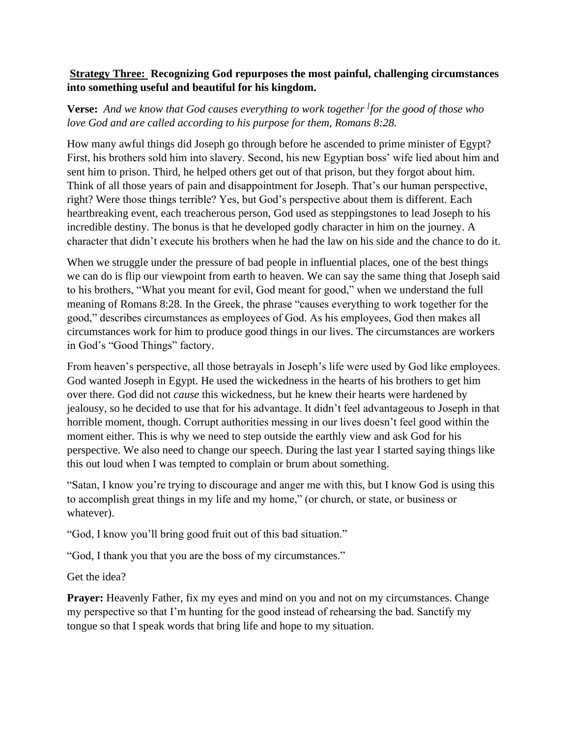# **Strategy Three: Recognizing God repurposes the most painful, challenging circumstances into something useful and beautiful for his kingdom.**

**Verse:** *And we know that God causes everything to work together [ for the good of those who love God and are called according to his purpose for them, Romans 8:28.*

How many awful things did Joseph go through before he ascended to prime minister of Egypt? First, his brothers sold him into slavery. Second, his new Egyptian boss' wife lied about him and sent him to prison. Third, he helped others get out of that prison, but they forgot about him. Think of all those years of pain and disappointment for Joseph. That's our human perspective, right? Were those things terrible? Yes, but God's perspective about them is different. Each heartbreaking event, each treacherous person, God used as steppingstones to lead Joseph to his incredible destiny. The bonus is that he developed godly character in him on the journey. A character that didn't execute his brothers when he had the law on his side and the chance to do it.

When we struggle under the pressure of bad people in influential places, one of the best things we can do is flip our viewpoint from earth to heaven. We can say the same thing that Joseph said to his brothers, "What you meant for evil, God meant for good," when we understand the full meaning of Romans 8:28. In the Greek, the phrase "causes everything to work together for the good," describes circumstances as employees of God. As his employees, God then makes all circumstances work for him to produce good things in our lives. The circumstances are workers in God's "Good Things" factory.

From heaven's perspective, all those betrayals in Joseph's life were used by God like employees. God wanted Joseph in Egypt. He used the wickedness in the hearts of his brothers to get him over there. God did not *cause* this wickedness, but he knew their hearts were hardened by jealousy, so he decided to use that for his advantage. It didn't feel advantageous to Joseph in that horrible moment, though. Corrupt authorities messing in our lives doesn't feel good within the moment either. This is why we need to step outside the earthly view and ask God for his perspective. We also need to change our speech. During the last year I started saying things like this out loud when I was tempted to complain or brum about something.

"Satan, I know you're trying to discourage and anger me with this, but I know God is using this to accomplish great things in my life and my home," (or church, or state, or business or whatever).

"God, I know you'll bring good fruit out of this bad situation."

"God, I thank you that you are the boss of my circumstances."

Get the idea?

**Prayer:** Heavenly Father, fix my eyes and mind on you and not on my circumstances. Change my perspective so that I'm hunting for the good instead of rehearsing the bad. Sanctify my tongue so that I speak words that bring life and hope to my situation.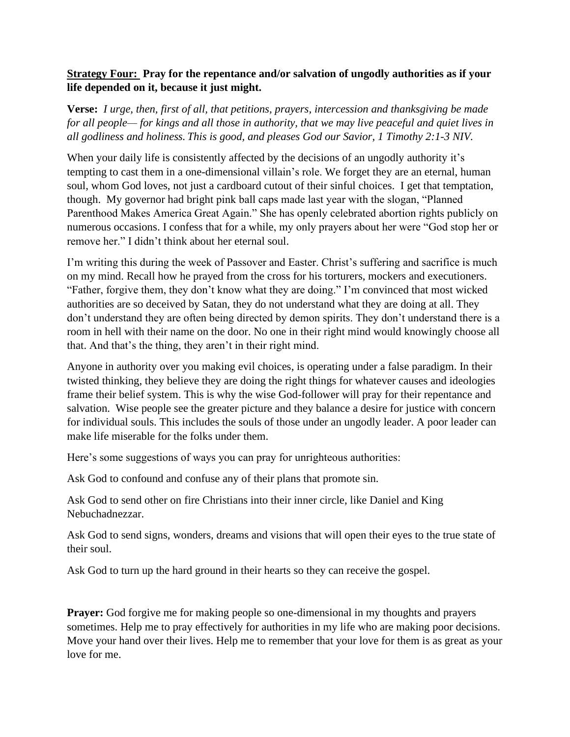# **Strategy Four: Pray for the repentance and/or salvation of ungodly authorities as if your life depended on it, because it just might.**

**Verse:** *I urge, then, first of all, that petitions, prayers, intercession and thanksgiving be made for all people— for kings and all those in authority, that we may live peaceful and quiet lives in all godliness and holiness. This is good, and pleases God our Savior, 1 Timothy 2:1-3 NIV.*

When your daily life is consistently affected by the decisions of an ungodly authority it's tempting to cast them in a one-dimensional villain's role. We forget they are an eternal, human soul, whom God loves, not just a cardboard cutout of their sinful choices. I get that temptation, though. My governor had bright pink ball caps made last year with the slogan, "Planned Parenthood Makes America Great Again." She has openly celebrated abortion rights publicly on numerous occasions. I confess that for a while, my only prayers about her were "God stop her or remove her." I didn't think about her eternal soul.

I'm writing this during the week of Passover and Easter. Christ's suffering and sacrifice is much on my mind. Recall how he prayed from the cross for his torturers, mockers and executioners. "Father, forgive them, they don't know what they are doing." I'm convinced that most wicked authorities are so deceived by Satan, they do not understand what they are doing at all. They don't understand they are often being directed by demon spirits. They don't understand there is a room in hell with their name on the door. No one in their right mind would knowingly choose all that. And that's the thing, they aren't in their right mind.

Anyone in authority over you making evil choices, is operating under a false paradigm. In their twisted thinking, they believe they are doing the right things for whatever causes and ideologies frame their belief system. This is why the wise God-follower will pray for their repentance and salvation. Wise people see the greater picture and they balance a desire for justice with concern for individual souls. This includes the souls of those under an ungodly leader. A poor leader can make life miserable for the folks under them.

Here's some suggestions of ways you can pray for unrighteous authorities:

Ask God to confound and confuse any of their plans that promote sin.

Ask God to send other on fire Christians into their inner circle, like Daniel and King Nebuchadnezzar.

Ask God to send signs, wonders, dreams and visions that will open their eyes to the true state of their soul.

Ask God to turn up the hard ground in their hearts so they can receive the gospel.

**Prayer:** God forgive me for making people so one-dimensional in my thoughts and prayers sometimes. Help me to pray effectively for authorities in my life who are making poor decisions. Move your hand over their lives. Help me to remember that your love for them is as great as your love for me.